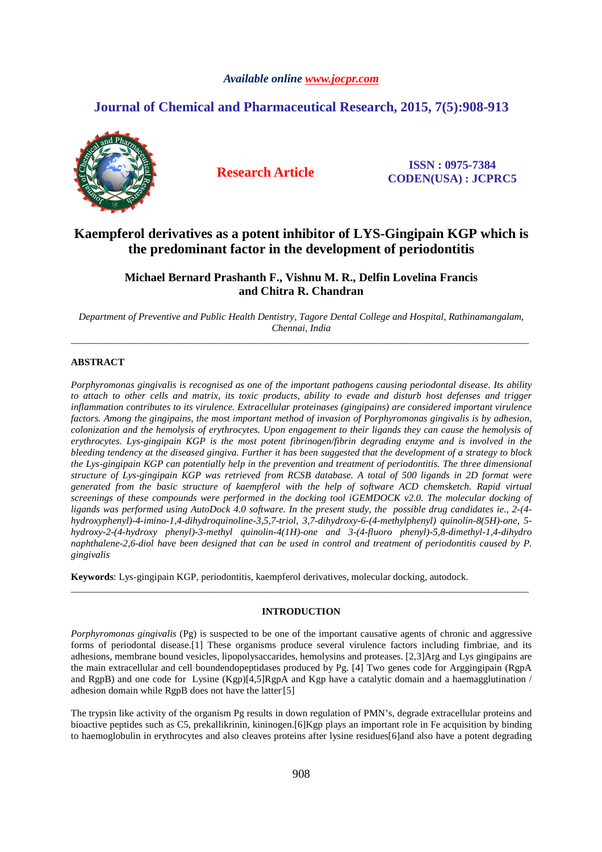## *Available online www.jocpr.com*

# **Journal of Chemical and Pharmaceutical Research, 2015, 7(5):908-913**



**Research Article ISSN : 0975-7384 CODEN(USA) : JCPRC5**

# **Kaempferol derivatives as a potent inhibitor of LYS-Gingipain KGP which is the predominant factor in the development of periodontitis**

# **Michael Bernard Prashanth F., Vishnu M. R., Delfin Lovelina Francis and Chitra R. Chandran**

*Department of Preventive and Public Health Dentistry, Tagore Dental College and Hospital, Rathinamangalam, Chennai, India*  \_\_\_\_\_\_\_\_\_\_\_\_\_\_\_\_\_\_\_\_\_\_\_\_\_\_\_\_\_\_\_\_\_\_\_\_\_\_\_\_\_\_\_\_\_\_\_\_\_\_\_\_\_\_\_\_\_\_\_\_\_\_\_\_\_\_\_\_\_\_\_\_\_\_\_\_\_\_\_\_\_\_\_\_\_\_\_\_\_\_\_\_\_

## **ABSTRACT**

*Porphyromonas gingivalis is recognised as one of the important pathogens causing periodontal disease. Its ability to attach to other cells and matrix, its toxic products, ability to evade and disturb host defenses and trigger inflammation contributes to its virulence. Extracellular proteinases (gingipains) are considered important virulence*  factors. Among the gingipains, the most important method of invasion of Porphyromonas gingivalis is by adhesion, *colonization and the hemolysis of erythrocytes. Upon engagement to their ligands they can cause the hemolysis of erythrocytes. Lys-gingipain KGP is the most potent fibrinogen/fibrin degrading enzyme and is involved in the bleeding tendency at the diseased gingiva. Further it has been suggested that the development of a strategy to block the Lys-gingipain KGP can potentially help in the prevention and treatment of periodontitis. The three dimensional structure of Lys-gingipain KGP was retrieved from RCSB database. A total of 500 ligands in 2D format were generated from the basic structure of kaempferol with the help of software ACD chemsketch. Rapid virtual screenings of these compounds were performed in the docking tool iGEMDOCK v2.0. The molecular docking of ligands was performed using AutoDock 4.0 software. In the present study, the possible drug candidates ie., 2-(4 hydroxyphenyl)-4-imino-1,4-dihydroquinoline-3,5,7-triol, 3,7-dihydroxy-6-(4-methylphenyl) quinolin-8(5H)-one, 5 hydroxy-2-(4-hydroxy phenyl)-3-methyl quinolin-4(1H)-one and 3-(4-fluoro phenyl)-5,8-dimethyl-1,4-dihydro naphthalene-2,6-diol have been designed that can be used in control and treatment of periodontitis caused by P. gingivalis* 

**Keywords**: Lys-gingipain KGP, periodontitis, kaempferol derivatives, molecular docking, autodock.

### **INTRODUCTION**

\_\_\_\_\_\_\_\_\_\_\_\_\_\_\_\_\_\_\_\_\_\_\_\_\_\_\_\_\_\_\_\_\_\_\_\_\_\_\_\_\_\_\_\_\_\_\_\_\_\_\_\_\_\_\_\_\_\_\_\_\_\_\_\_\_\_\_\_\_\_\_\_\_\_\_\_\_\_\_\_\_\_\_\_\_\_\_\_\_\_\_\_\_

*Porphyromonas gingivalis* (Pg) is suspected to be one of the important causative agents of chronic and aggressive forms of periodontal disease.[1] These organisms produce several virulence factors including fimbriae, and its adhesions, membrane bound vesicles, lipopolysaccarides, hemolysins and proteases. [2,3]Arg and Lys gingipains are the main extracellular and cell boundendopeptidases produced by Pg. [4] Two genes code for Arggingipain (RgpA and RgpB) and one code for Lysine (Kgp)[4,5]RgpA and Kgp have a catalytic domain and a haemagglutination / adhesion domain while RgpB does not have the latter [5]

The trypsin like activity of the organism Pg results in down regulation of PMN's, degrade extracellular proteins and bioactive peptides such as C5, prekallikrinin, kininogen.[6]Kgp plays an important role in Fe acquisition by binding to haemoglobulin in erythrocytes and also cleaves proteins after lysine residues[6]and also have a potent degrading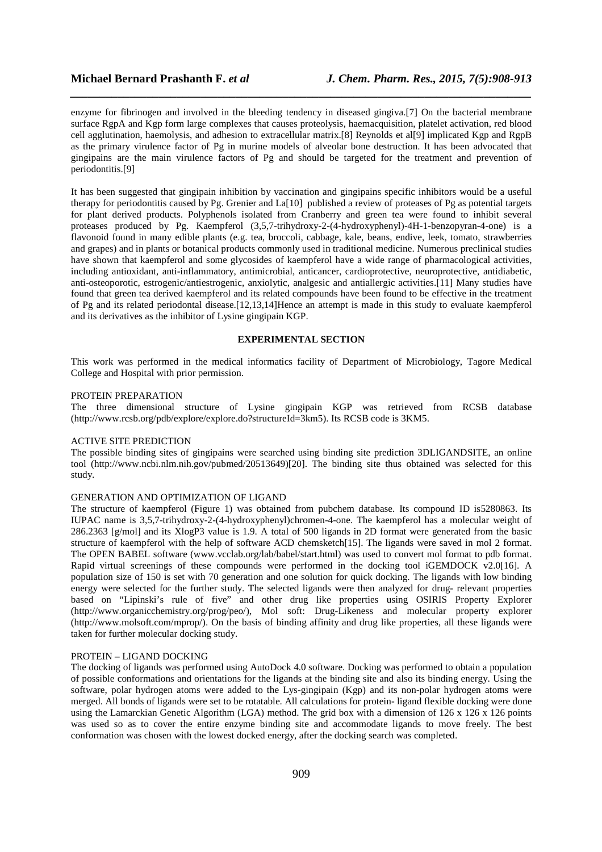enzyme for fibrinogen and involved in the bleeding tendency in diseased gingiva.[7] On the bacterial membrane surface RgpA and Kgp form large complexes that causes proteolysis, haemacquisition, platelet activation, red blood cell agglutination, haemolysis, and adhesion to extracellular matrix.[8] Reynolds et al[9] implicated Kgp and RgpB as the primary virulence factor of Pg in murine models of alveolar bone destruction. It has been advocated that gingipains are the main virulence factors of Pg and should be targeted for the treatment and prevention of periodontitis.[9]

*\_\_\_\_\_\_\_\_\_\_\_\_\_\_\_\_\_\_\_\_\_\_\_\_\_\_\_\_\_\_\_\_\_\_\_\_\_\_\_\_\_\_\_\_\_\_\_\_\_\_\_\_\_\_\_\_\_\_\_\_\_\_\_\_\_\_\_\_\_\_\_\_\_\_\_\_\_\_*

It has been suggested that gingipain inhibition by vaccination and gingipains specific inhibitors would be a useful therapy for periodontitis caused by Pg. Grenier and La[10] published a review of proteases of Pg as potential targets for plant derived products. Polyphenols isolated from Cranberry and green tea were found to inhibit several proteases produced by Pg. Kaempferol (3,5,7-trihydroxy-2-(4-hydroxyphenyl)-4H-1-benzopyran-4-one) is a flavonoid found in many edible plants (e.g. tea, broccoli, cabbage, kale, beans, endive, leek, tomato, strawberries and grapes) and in plants or botanical products commonly used in traditional medicine. Numerous preclinical studies have shown that kaempferol and some glycosides of kaempferol have a wide range of pharmacological activities, including antioxidant, anti-inflammatory, antimicrobial, anticancer, cardioprotective, neuroprotective, antidiabetic, anti-osteoporotic, estrogenic/antiestrogenic, anxiolytic, analgesic and antiallergic activities.[11] Many studies have found that green tea derived kaempferol and its related compounds have been found to be effective in the treatment of Pg and its related periodontal disease.[12,13,14]Hence an attempt is made in this study to evaluate kaempferol and its derivatives as the inhibitor of Lysine gingipain KGP.

### **EXPERIMENTAL SECTION**

This work was performed in the medical informatics facility of Department of Microbiology, Tagore Medical College and Hospital with prior permission.

#### PROTEIN PREPARATION

The three dimensional structure of Lysine gingipain KGP was retrieved from RCSB database (http://www.rcsb.org/pdb/explore/explore.do?structureId=3km5). Its RCSB code is 3KM5.

#### ACTIVE SITE PREDICTION

The possible binding sites of gingipains were searched using binding site prediction 3DLIGANDSITE, an online tool (http://www.ncbi.nlm.nih.gov/pubmed/20513649)[20]. The binding site thus obtained was selected for this study.

#### GENERATION AND OPTIMIZATION OF LIGAND

The structure of kaempferol (Figure 1) was obtained from pubchem database. Its compound ID is5280863. Its IUPAC name is 3,5,7-trihydroxy-2-(4-hydroxyphenyl)chromen-4-one. The kaempferol has a molecular weight of 286.2363 [g/mol] and its XlogP3 value is 1.9. A total of 500 ligands in 2D format were generated from the basic structure of kaempferol with the help of software ACD chemsketch[15]. The ligands were saved in mol 2 format. The OPEN BABEL software (www.vcclab.org/lab/babel/start.html) was used to convert mol format to pdb format. Rapid virtual screenings of these compounds were performed in the docking tool iGEMDOCK v2.0[16]. A population size of 150 is set with 70 generation and one solution for quick docking. The ligands with low binding energy were selected for the further study. The selected ligands were then analyzed for drug- relevant properties based on "Lipinski's rule of five" and other drug like properties using OSIRIS Property Explorer (http://www.organicchemistry.org/prog/peo/), Mol soft: Drug-Likeness and molecular property explorer (http://www.molsoft.com/mprop/). On the basis of binding affinity and drug like properties, all these ligands were taken for further molecular docking study.

#### PROTEIN – LIGAND DOCKING

The docking of ligands was performed using AutoDock 4.0 software. Docking was performed to obtain a population of possible conformations and orientations for the ligands at the binding site and also its binding energy. Using the software, polar hydrogen atoms were added to the Lys-gingipain (Kgp) and its non-polar hydrogen atoms were merged. All bonds of ligands were set to be rotatable. All calculations for protein- ligand flexible docking were done using the Lamarckian Genetic Algorithm (LGA) method. The grid box with a dimension of 126 x 126 x 126 points was used so as to cover the entire enzyme binding site and accommodate ligands to move freely. The best conformation was chosen with the lowest docked energy, after the docking search was completed.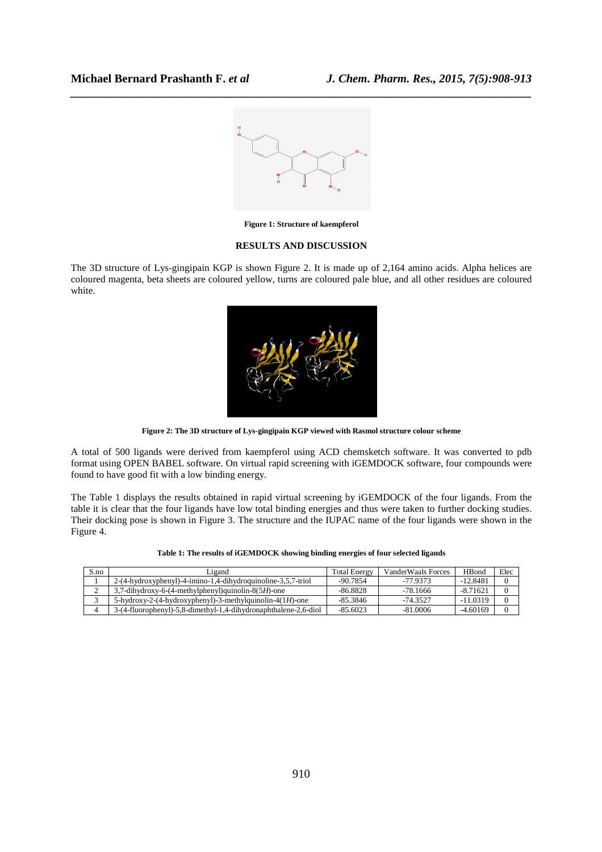

*\_\_\_\_\_\_\_\_\_\_\_\_\_\_\_\_\_\_\_\_\_\_\_\_\_\_\_\_\_\_\_\_\_\_\_\_\_\_\_\_\_\_\_\_\_\_\_\_\_\_\_\_\_\_\_\_\_\_\_\_\_\_\_\_\_\_\_\_\_\_\_\_\_\_\_\_\_\_*

**Figure 1: Structure of kaempferol** 

#### **RESULTS AND DISCUSSION**

The 3D structure of Lys-gingipain KGP is shown Figure 2. It is made up of 2,164 amino acids. Alpha helices are coloured magenta, beta sheets are coloured yellow, turns are coloured pale blue, and all other residues are coloured white.



**Figure 2: The 3D structure of Lys-gingipain KGP viewed with Rasmol structure colour scheme** 

A total of 500 ligands were derived from kaempferol using ACD chemsketch software. It was converted to pdb format using OPEN BABEL software. On virtual rapid screening with iGEMDOCK software, four compounds were found to have good fit with a low binding energy.

The Table 1 displays the results obtained in rapid virtual screening by iGEMDOCK of the four ligands. From the table it is clear that the four ligands have low total binding energies and thus were taken to further docking studies. Their docking pose is shown in Figure 3. The structure and the IUPAC name of the four ligands were shown in the Figure 4.

| Table 1: The results of iGEMDOCK showing binding energies of four selected ligands |  |
|------------------------------------------------------------------------------------|--|
|------------------------------------------------------------------------------------|--|

| S.no | agand                                                           | <b>Total Energy</b> | VanderWaals Forces | <b>H</b> Bond | Elec |
|------|-----------------------------------------------------------------|---------------------|--------------------|---------------|------|
|      | 2-(4-hydroxyphenyl)-4-imino-1,4-dihydroquinoline-3,5,7-triol    | $-90.7854$          | -77 9373           | $-12.8481$    |      |
|      | $3,7$ -dihydroxy-6-(4-methylphenyl)quinolin-8(5H)-one           | $-86.8828$          | -78.1666           | $-8.71621$    |      |
|      | $5$ -hydroxy-2-(4-hydroxyphenyl)-3-methylquinolin-4(1H)-one     | $-85.3846$          | -74 3527           | $-11.0319$    |      |
|      | 3-(4-fluorophenyl)-5,8-dimethyl-1,4-dihydronaphthalene-2,6-diol | $-85.6023$          | $-81.0006$         | $-4.60169$    |      |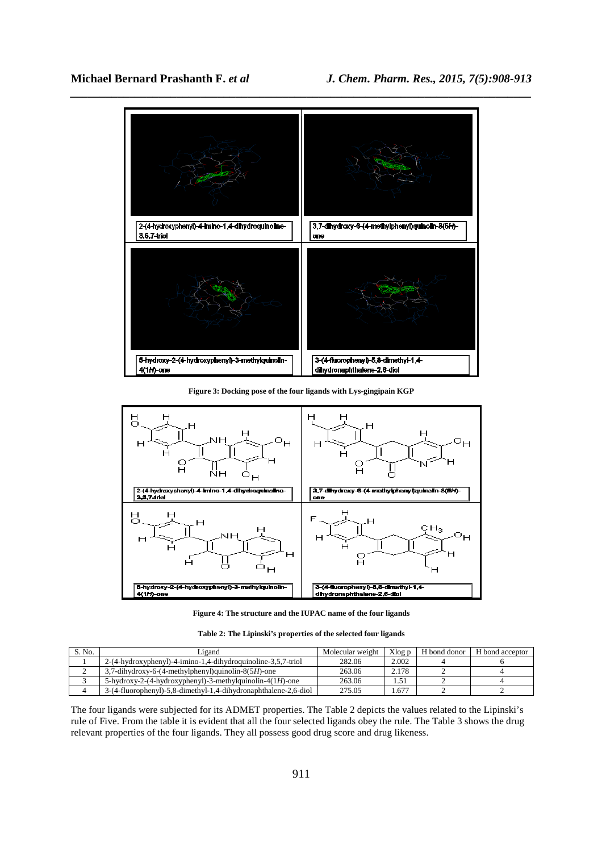

**Figure 3: Docking pose of the four ligands with Lys-gingipain KGP** 



**Figure 4: The structure and the IUPAC name of the four ligands** 

**Table 2: The Lipinski's properties of the selected four ligands** 

| S. No. | igand                                                           | Molecular weight | Xlog p | H bond donor | H bond acceptor |
|--------|-----------------------------------------------------------------|------------------|--------|--------------|-----------------|
|        | 2-(4-hydroxyphenyl)-4-imino-1.4-dihydroquinoline-3.5.7-triol    | 282.06           | 2.002  |              |                 |
|        | $3,7$ -dihydroxy-6-(4-methylphenyl)quinolin-8(5H)-one           | 263.06           | 2.178  |              |                 |
|        | $5$ -hydroxy-2-(4-hydroxyphenyl)-3-methylquinolin-4(1H)-one     | 263.06           |        |              |                 |
|        | 3-(4-fluorophenyl)-5,8-dimethyl-1,4-dihydronaphthalene-2,6-diol | 275.05           | .677   |              |                 |

The four ligands were subjected for its ADMET properties. The Table 2 depicts the values related to the Lipinski's rule of Five. From the table it is evident that all the four selected ligands obey the rule. The Table 3 shows the drug relevant properties of the four ligands. They all possess good drug score and drug likeness.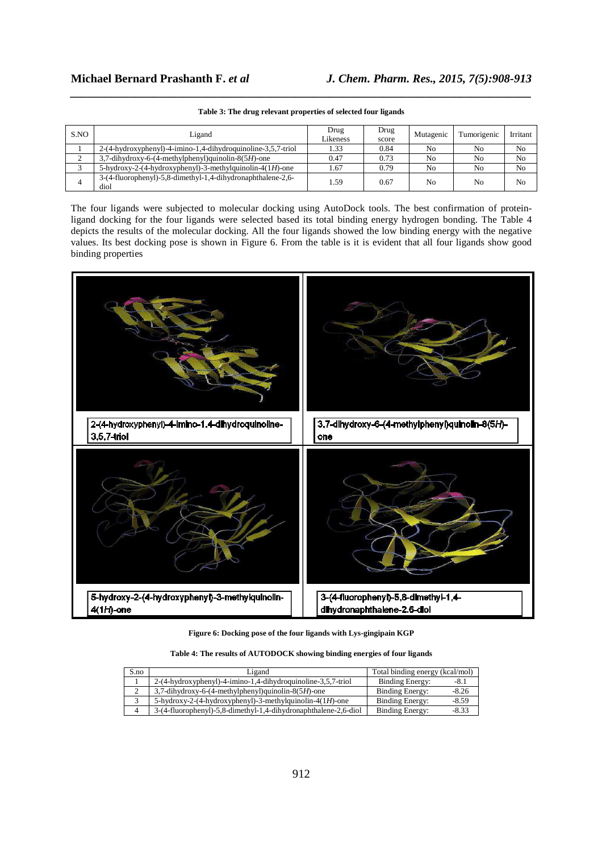| S.NO   | Ligand                                                              | Drug<br>Likeness | Drug<br>score | Mutagenic      | Tumorigenic    | Irritant       |
|--------|---------------------------------------------------------------------|------------------|---------------|----------------|----------------|----------------|
|        | 2-(4-hydroxyphenyl)-4-imino-1,4-dihydroquinoline-3,5,7-triol        | 1.33             | 0.84          | No             | N <sub>0</sub> | No             |
| ◠<br>∼ | $3,7$ -dihydroxy-6-(4-methylphenyl)quinolin-8(5H)-one               | 0.47             | 0.73          | No             | N <sub>0</sub> | N <sub>0</sub> |
|        | 5-hydroxy-2-(4-hydroxyphenyl)-3-methylquinolin-4(1H)-one            | 1.67             | 0.79          | No             | No             | N <sub>0</sub> |
|        | 3-(4-fluorophenyl)-5,8-dimethyl-1,4-dihydronaphthalene-2,6-<br>diol | 1.59             | 0.67          | N <sub>0</sub> | N <sub>0</sub> | N <sub>0</sub> |

*\_\_\_\_\_\_\_\_\_\_\_\_\_\_\_\_\_\_\_\_\_\_\_\_\_\_\_\_\_\_\_\_\_\_\_\_\_\_\_\_\_\_\_\_\_\_\_\_\_\_\_\_\_\_\_\_\_\_\_\_\_\_\_\_\_\_\_\_\_\_\_\_\_\_\_\_\_\_* **Table 3: The drug relevant properties of selected four ligands** 

The four ligands were subjected to molecular docking using AutoDock tools. The best confirmation of proteinligand docking for the four ligands were selected based its total binding energy hydrogen bonding. The Table 4 depicts the results of the molecular docking. All the four ligands showed the low binding energy with the negative values. Its best docking pose is shown in Figure 6. From the table is it is evident that all four ligands show good binding properties



**Figure 6: Docking pose of the four ligands with Lys-gingipain KGP** 

**Table 4: The results of AUTODOCK showing binding energies of four ligands** 

| S.no | Ligand                                                          | Total binding energy (kcal/mol) |  |
|------|-----------------------------------------------------------------|---------------------------------|--|
|      | 2-(4-hydroxyphenyl)-4-imino-1,4-dihydroquinoline-3,5,7-triol    | Binding Energy:<br>-8.1         |  |
|      | $3,7$ -dihydroxy-6-(4-methylphenyl)quinolin-8(5H)-one           | Binding Energy:<br>$-8.26$      |  |
|      | 5-hydroxy-2-(4-hydroxyphenyl)-3-methylquinolin-4(1H)-one        | Binding Energy:<br>$-8.59$      |  |
|      | 3-(4-fluorophenyl)-5,8-dimethyl-1,4-dihydronaphthalene-2,6-diol | Binding Energy:<br>$-8.33$      |  |